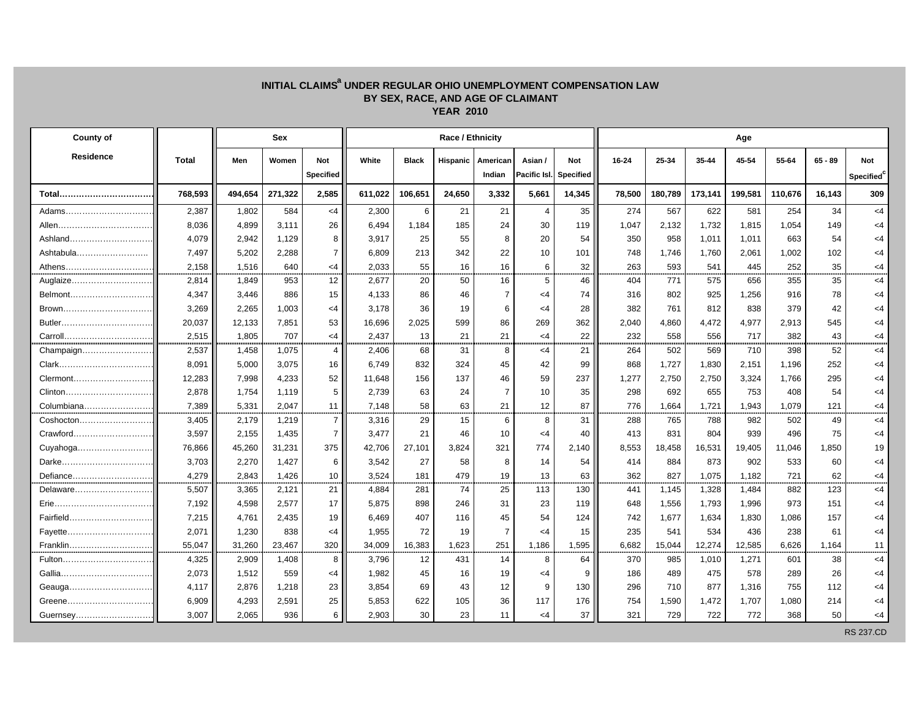## INITIAL CLAIMS<sup>a</sup> UNDER REGULAR OHIO UNEMPLOYMENT COMPENSATION LAW<br>BY SEX, RACE, AND AGE OF CLAIMANT **YEAR 2010**

| <b>County of</b> |              |         | Sex     |                  |         | Age          |          |                |                |                  |        |         |         |         |         |           |                        |
|------------------|--------------|---------|---------|------------------|---------|--------------|----------|----------------|----------------|------------------|--------|---------|---------|---------|---------|-----------|------------------------|
| <b>Residence</b> | <b>Total</b> | Men     | Women   | Not              | White   | <b>Black</b> | Hispanic | American       | Asian/         | <b>Not</b>       | 16-24  | 25-34   | 35-44   | 45-54   | 55-64   | $65 - 89$ | Not                    |
|                  |              |         |         | <b>Specified</b> |         |              |          | Indian         | Pacific Isl.   | <b>Specified</b> |        |         |         |         |         |           | Specified <sup>c</sup> |
|                  | 768,593      | 494,654 | 271,322 | 2,585            | 611,022 | 106,651      | 24.650   | 3,332          | 5,661          | 14,345           | 78,500 | 180,789 | 173,141 | 199,581 | 110,676 | 16.143    | 309                    |
| Adams            | 2,387        | 1,802   | 584     | $<$ 4            | 2,300   | 6            | 21       | 21             | $\overline{4}$ | 35               | 274    | 567     | 622     | 581     | 254     | 34        | $<$ 4                  |
|                  | 8,036        | 4,899   | 3,111   | 26               | 6,494   | 1,184        | 185      | 24             | 30             | 119              | 1,047  | 2,132   | 1,732   | 1,815   | 1,054   | 149       | $<$ 4                  |
| Ashland          | 4,079        | 2,942   | 1,129   | 8                | 3,917   | 25           | 55       | 8              | 20             | 54               | 350    | 958     | 1,011   | 1,011   | 663     | 54        | $<$ 4                  |
| Ashtabula        | 7,497        | 5,202   | 2,288   | $\overline{7}$   | 6,809   | 213          | 342      | 22             | 10             | 101              | 748    | 1,746   | 1,760   | 2,061   | 1,002   | 102       | <4                     |
| Athens           | 2,158        | 1,516   | 640     | <4               | 2,033   | 55           | 16       | 16             | 6              | 32               | 263    | 593     | 541     | 445     | 252     | 35        | $<$ 4                  |
| Auglaize         | 2,814        | 1,849   | 953     | 12               | 2,677   | 20           | 50       | 16             | 5              | 46               | 404    | 771     | 575     | 656     | 355     | 35        | $<$ 4                  |
| Belmont          | 4,347        | 3,446   | 886     | 15               | 4,133   | 86           | 46       | $\overline{7}$ | $<$ 4          | 74               | 316    | 802     | 925     | 1,256   | 916     | 78        | $<$ 4                  |
| Brown            | 3,269        | 2,265   | 1,003   | $<$ 4            | 3,178   | 36           | 19       | 6              | $<$ 4          | 28               | 382    | 761     | 812     | 838     | 379     | 42        | <4                     |
| Butler           | 20,037       | 12,133  | 7,851   | 53               | 16,696  | 2,025        | 599      | 86             | 269            | 362              | 2,040  | 4,860   | 4,472   | 4,977   | 2,913   | 545       | $<$ 4                  |
| Carroll          | 2,515        | 1,805   | 707     | <4               | 2,437   | 13           | 21       | 21             | $<$ 4          | 22               | 232    | 558     | 556     | 717     | 382     | 43        | $<$ 4                  |
| Champaign        | 2,537        | 1,458   | 1,075   | 4                | 2,406   | 68           | 31       | 8              | <4             | 21               | 264    | 502     | 569     | 710     | 398     | 52        | $<$ 4                  |
|                  | 8,091        | 5,000   | 3,075   | 16               | 6,749   | 832          | 324      | 45             | 42             | 99               | 868    | 1,727   | 1,830   | 2,151   | 1,196   | 252       | $<$ 4                  |
| Clermont         | 12,283       | 7,998   | 4,233   | 52               | 11,648  | 156          | 137      | 46             | 59             | 237              | 1,277  | 2,750   | 2,750   | 3,324   | 1,766   | 295       | $<$ 4                  |
| Clinton          | 2,878        | 1,754   | 1,119   | 5                | 2,739   | 63           | 24       | $\overline{7}$ | 10             | 35               | 298    | 692     | 655     | 753     | 408     | 54        | $<$ 4                  |
| Columbiana       | 7,389        | 5,331   | 2,047   | 11               | 7,148   | 58           | 63       | 21             | 12             | 87               | 776    | 1,664   | 1,721   | 1,943   | 1,079   | 121       | $<$ 4                  |
| Coshocton        | 3,405        | 2,179   | 1,219   | $\overline{7}$   | 3,316   | 29           | 15       | 6              | 8              | 31               | 288    | 765     | 788     | 982     | 502     | 49        | $<$ 4                  |
| Crawford         | 3,597        | 2,155   | 1,435   | $\overline{7}$   | 3,477   | 21           | 46       | 10             | $\leq 4$       | 40               | 413    | 831     | 804     | 939     | 496     | 75        | $<$ 4                  |
| Cuyahoga         | 76,866       | 45,260  | 31,231  | 375              | 42,706  | 27,101       | 3,824    | 321            | 774            | 2,140            | 8,553  | 18,458  | 16,531  | 19,405  | 11,046  | 1,850     | 19                     |
|                  | 3,703        | 2,270   | 1,427   | 6                | 3,542   | 27           | 58       | 8              | 14             | 54               | 414    | 884     | 873     | 902     | 533     | 60        | $<$ 4                  |
| Defiance         | 4,279        | 2.843   | 1.426   | 10               | 3,524   | 181          | 479      | 19             | 13             | 63               | 362    | 827     | 1,075   | 1,182   | 721     | 62        | <4                     |
| Delaware         | 5,507        | 3,365   | 2,121   | 21               | 4,884   | 281          | 74       | 25             | 113            | 130              | 441    | 1,145   | 1,328   | 1,484   | 882     | 123       | <4                     |
|                  | 7,192        | 4,598   | 2,577   | 17               | 5,875   | 898          | 246      | 31             | 23             | 119              | 648    | 1,556   | 1,793   | 1,996   | 973     | 151       | $<$ 4                  |
| Fairfield        | 7,215        | 4,761   | 2,435   | 19               | 6,469   | 407          | 116      | 45             | 54             | 124              | 742    | 1,677   | 1,634   | 1,830   | 1,086   | 157       | <4                     |
|                  | 2,071        | 1,230   | 838     | $<$ 4            | 1,955   | 72           | 19       | $\overline{7}$ | $\leq$ 4       | 15               | 235    | 541     | 534     | 436     | 238     | 61        | <4                     |
| Franklin         | 55,047       | 31,260  | 23,467  | 320              | 34,009  | 16,383       | 1,623    | 251            | 1,186          | 1,595            | 6,682  | 15,044  | 12,274  | 12,585  | 6,626   | 1,164     | 11                     |
| Fulton           | 4,325        | 2,909   | 1,408   | 8                | 3,796   | 12           | 431      | 14             | 8              | 64               | 370    | 985     | 1,010   | 1,271   | 601     | 38        | $<$ 4                  |
|                  | 2,073        | 1,512   | 559     | $\leq 4$         | 1,982   | 45           | 16       | 19             | <4             | 9                | 186    | 489     | 475     | 578     | 289     | 26        | $<$ 4                  |
| Geauga           | 4,117        | 2,876   | 1,218   | 23               | 3,854   | 69           | 43       | 12             | 9              | 130              | 296    | 710     | 877     | 1,316   | 755     | 112       | $<$ 4                  |
| Greene           | 6,909        | 4,293   | 2,591   | 25               | 5,853   | 622          | 105      | 36             | 117            | 176              | 754    | 1,590   | 1,472   | 1,707   | 1,080   | 214       | <4                     |
| Guernsey         | 3,007        | 2,065   | 936     | 6                | 2,903   | 30           | 23       | 11             | $<$ 4          | 37               | 321    | 729     | 722     | 772     | 368     | 50        | $<$ 4                  |
|                  |              |         |         |                  |         |              |          |                |                |                  |        |         |         |         |         |           | <b>RS 237.CD</b>       |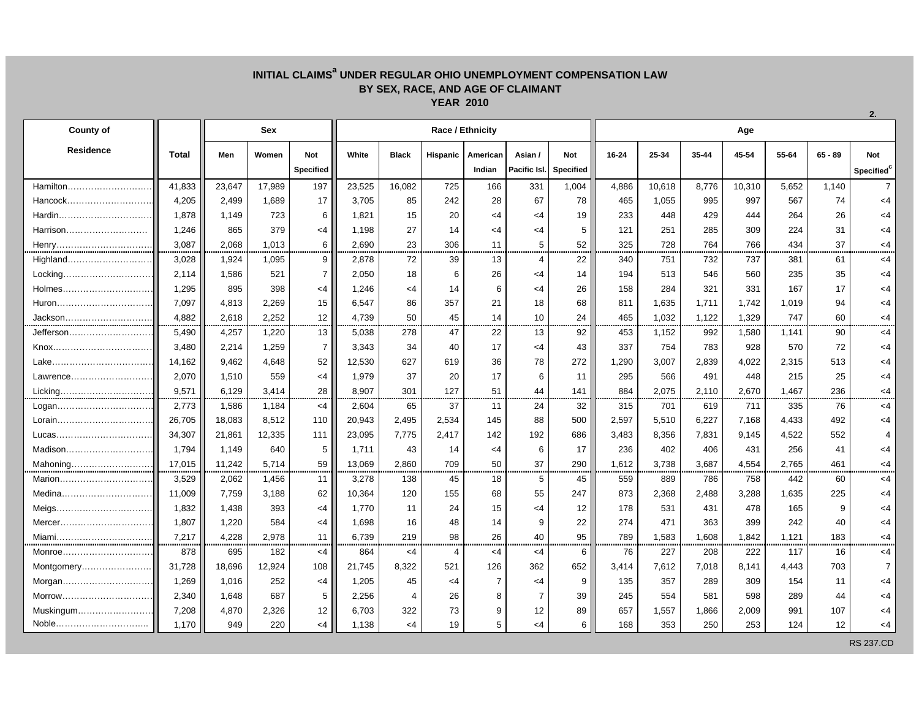## **INITIAL CLAIMSa UNDER REGULAR OHIO UNEMPLOYMENT COMPENSATION LAW BY SEX, RACE, AND AGE OF CLAIMANT YEAR 2010**

| <b>County of</b> |              | Sex    |        |                  | Race / Ethnicity |              |                |                |                |                  |           | Age    |       |        |       |           |                        |  |  |
|------------------|--------------|--------|--------|------------------|------------------|--------------|----------------|----------------|----------------|------------------|-----------|--------|-------|--------|-------|-----------|------------------------|--|--|
| <b>Residence</b> | <b>Total</b> | Men    | Women  | <b>Not</b>       | White            | <b>Black</b> | Hispanic       | American       | Asian /        | <b>Not</b>       | $16 - 24$ | 25-34  | 35-44 | 45-54  | 55-64 | $65 - 89$ | <b>Not</b>             |  |  |
|                  |              |        |        | <b>Specified</b> |                  |              |                | Indian         | Pacific Isl.   | <b>Specified</b> |           |        |       |        |       |           | Specified <sup>c</sup> |  |  |
| Hamilton         | 41,833       | 23,647 | 17,989 | 197              | 23,525           | 16,082       | 725            | 166            | 331            | 1,004            | 4,886     | 10,618 | 8,776 | 10,310 | 5,652 | 1,140     | $\overline{7}$         |  |  |
| Hancock          | 4,205        | 2,499  | 1,689  | 17               | 3,705            | 85           | 242            | 28             | 67             | 78               | 465       | 1,055  | 995   | 997    | 567   | 74        | $<$ 4                  |  |  |
|                  | 1,878        | 1,149  | 723    | 6                | 1,821            | 15           | 20             | <4             | $<$ 4          | 19               | 233       | 448    | 429   | 444    | 264   | 26        | $<$ 4                  |  |  |
| Harrison         | 1,246        | 865    | 379    | $<$ 4            | 1,198            | 27           | 14             | $<$ 4          | $<$ 4          | 5                | 121       | 251    | 285   | 309    | 224   | 31        | $<$ 4                  |  |  |
| Henry            | 3,087        | 2,068  | 1,013  | 6                | 2.690            | 23           | 306            | 11             | 5              | 52               | 325       | 728    | 764   | 766    | 434   | 37        | $<$ 4                  |  |  |
| Highland         | 3,028        | 1,924  | 1,095  | 9                | 2,878            | 72           | 39             | 13             | $\overline{4}$ | 22               | 340       | 751    | 732   | 737    | 381   | 61        | $<$ 4                  |  |  |
| Locking.         | 2,114        | 1,586  | 521    | $\overline{7}$   | 2,050            | 18           | 6              | 26             | $<$ 4          | 14               | 194       | 513    | 546   | 560    | 235   | 35        | <4                     |  |  |
| Holmes           | 1,295        | 895    | 398    | $<$ 4            | 1,246            | $<$ 4        | 14             | 6              | $<$ 4          | 26               | 158       | 284    | 321   | 331    | 167   | 17        | <4                     |  |  |
| Huron            | 7,097        | 4,813  | 2,269  | 15               | 6,547            | 86           | 357            | 21             | 18             | 68               | 811       | 1,635  | 1,711 | 1,742  | 1,019 | 94        | <4                     |  |  |
| Jackson          | 4.882        | 2.618  | 2.252  | 12               | 4,739            | 50           | 45             | 14             | 10             | 24               | 465       | 1,032  | 1,122 | 1,329  | 747   | 60        | $<$ 4                  |  |  |
| Jefferson        | 5,490        | 4,257  | 1,220  | 13               | 5,038            | 278          | 47             | 22             | 13             | 92               | 453       | 1,152  | 992   | 1,580  | 1.141 | 90        | $<$ 4                  |  |  |
|                  | 3,480        | 2,214  | 1,259  | $\overline{7}$   | 3,343            | 34           | 40             | 17             | $<$ 4          | 43               | 337       | 754    | 783   | 928    | 570   | 72        | <4                     |  |  |
|                  | 14,162       | 9,462  | 4,648  | 52               | 12,530           | 627          | 619            | 36             | 78             | 272              | 1,290     | 3,007  | 2,839 | 4,022  | 2,315 | 513       | <4                     |  |  |
| Lawrence         | 2,070        | 1,510  | 559    | $<$ 4            | 1,979            | 37           | 20             | 17             | 6              | 11               | 295       | 566    | 491   | 448    | 215   | 25        | <4                     |  |  |
| Licking          | 9,571        | 6,129  | 3,414  | 28               | 8,907            | 301          | 127            | 51             | 44             | 141              | 884       | 2,075  | 2,110 | 2,670  | 1,467 | 236       | $<$ 4                  |  |  |
| Logan            | 2,773        | 1,586  | 1,184  | $<$ 4            | 2,604            | 65           | 37             | 11             | 24             | 32               | 315       | 701    | 619   | 711    | 335   | 76        | $<$ 4                  |  |  |
|                  | 26,705       | 18,083 | 8,512  | 110              | 20,943           | 2,495        | 2,534          | 145            | 88             | 500              | 2,597     | 5,510  | 6,227 | 7,168  | 4,433 | 492       | <4                     |  |  |
|                  | 34,307       | 21,861 | 12,335 | 111              | 23,095           | 7,775        | 2,417          | 142            | 192            | 686              | 3,483     | 8,356  | 7,831 | 9,145  | 4,522 | 552       |                        |  |  |
|                  | 1,794        | 1,149  | 640    | 5                | 1,711            | 43           | 14             | <4             | 6              | 17               | 236       | 402    | 406   | 431    | 256   | 41        | <4                     |  |  |
| Mahoning         | 17,015       | 11,242 | 5.714  | 59               | 13,069           | 2,860        | 709            | 50             | 37             | 290              | 1,612     | 3,738  | 3,687 | 4,554  | 2,765 | 461       | $<$ 4                  |  |  |
| Marion           | 3,529        | 2,062  | 1,456  | 11               | 3,278            | 138          | 45             | 18             | 5              | 45               | 559       | 889    | 786   | 758    | 442   | 60        | $<$ 4                  |  |  |
| Medina           | 11,009       | 7,759  | 3,188  | 62               | 10,364           | 120          | 155            | 68             | 55             | 247              | 873       | 2,368  | 2,488 | 3,288  | 1,635 | 225       | <4                     |  |  |
|                  | 1,832        | 1,438  | 393    | $<$ 4            | 1,770            | 11           | 24             | 15             | $<$ 4          | 12               | 178       | 531    | 431   | 478    | 165   | 9         | <4                     |  |  |
| Mercer           | 1,807        | 1,220  | 584    | $<$ 4            | 1,698            | 16           | 48             | 14             | 9              | 22               | 274       | 471    | 363   | 399    | 242   | 40        | $<$ 4                  |  |  |
| Miami            | 7,217        | 4,228  | 2,978  | 11               | 6,739            | 219          | 98             | 26             | 40             | 95               | 789       | 1,583  | 1,608 | 1,842  | 1,121 | 183       | $<$ 4                  |  |  |
|                  | 878          | 695    | 182    | $<$ 4            | 864              | $<$ 4        | $\overline{4}$ | $<$ 4          | <4             | 6                | 76        | 227    | 208   | 222    | 117   | 16        | $<$ 4                  |  |  |
| Montgomery       | 31,728       | 18,696 | 12,924 | 108              | 21,745           | 8,322        | 521            | 126            | 362            | 652              | 3,414     | 7,612  | 7,018 | 8,141  | 4,443 | 703       | $\overline{7}$         |  |  |
| Morgan           | 1,269        | 1,016  | 252    | $<$ 4            | 1,205            | 45           | $\leq$ 4       | $\overline{7}$ | $<$ 4          | 9                | 135       | 357    | 289   | 309    | 154   | 11        | <4                     |  |  |
| Morrow           | 2,340        | 1,648  | 687    | 5                | 2,256            | 4            | 26             | 8              | $\overline{7}$ | 39               | 245       | 554    | 581   | 598    | 289   | 44        | <4                     |  |  |
| Muskingum        | 7,208        | 4,870  | 2,326  | 12               | 6,703            | 322          | 73             | 9              | 12             | 89               | 657       | 1,557  | 1,866 | 2,009  | 991   | 107       | <4                     |  |  |
| Noble            | 1.170        | 949    | 220    | $\leq 4$         | 1,138            | <4           | 19             | 5              | <4             | 6                | 168       | 353    | 250   | 253    | 124   | 12        | <4                     |  |  |
|                  |              |        |        |                  |                  |              |                |                |                |                  |           |        |       |        |       |           |                        |  |  |

**2.**

RS 237.CD